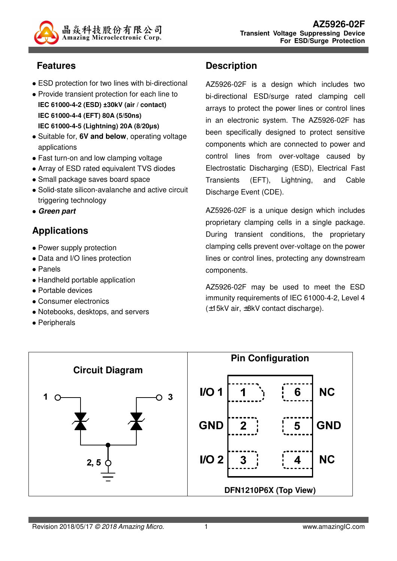

### **Features**

- ESD protection for two lines with bi-directional
- Provide transient protection for each line to **IEC 61000-4-2 (ESD) ±30kV (air / contact) IEC 61000-4-4 (EFT) 80A (5/50ns) IEC 61000-4-5 (Lightning) 20A (8/20µs)**
- Suitable for, **6V and below**, operating voltage applications
- Fast turn-on and low clamping voltage
- Array of ESD rated equivalent TVS diodes
- Small package saves board space
- Solid-state silicon-avalanche and active circuit triggering technology
- **Green part**

# **Applications**

- Power supply protection
- Data and I/O lines protection
- Panels
- Handheld portable application
- Portable devices
- Consumer electronics
- Notebooks, desktops, and servers
- Peripherals

#### **Description**

AZ5926-02F is a design which includes two bi-directional ESD/surge rated clamping cell arrays to protect the power lines or control lines in an electronic system. The AZ5926-02F has been specifically designed to protect sensitive components which are connected to power and control lines from over-voltage caused by Electrostatic Discharging (ESD), Electrical Fast Transients (EFT), Lightning, and Cable Discharge Event (CDE).

AZ5926-02F is a unique design which includes proprietary clamping cells in a single package. During transient conditions, the proprietary clamping cells prevent over-voltage on the power lines or control lines, protecting any downstream components.

AZ5926-02F may be used to meet the ESD immunity requirements of IEC 61000-4-2, Level 4 (±15kV air, ±8kV contact discharge).

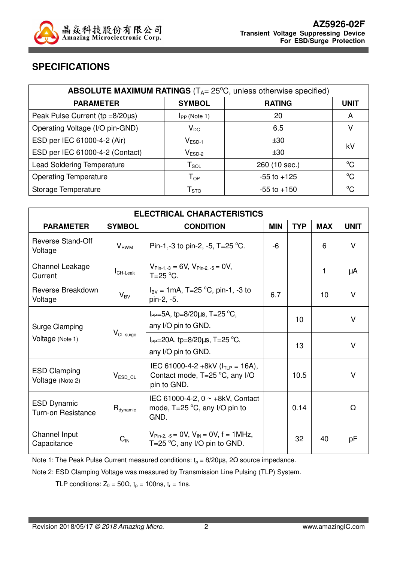

#### **SPECIFICATIONS**

| <b>ABSOLUTE MAXIMUM RATINGS</b> ( $T_{A}$ = 25 $^{\circ}$ C, unless otherwise specified) |                                      |                 |             |  |
|------------------------------------------------------------------------------------------|--------------------------------------|-----------------|-------------|--|
| <b>PARAMETER</b>                                                                         | <b>SYMBOL</b>                        | <b>RATING</b>   | <b>UNIT</b> |  |
| Peak Pulse Current ( $tp = 8/20\mu s$ )                                                  | $I_{PP}$ (Note 1)                    | 20              | A           |  |
| Operating Voltage (I/O pin-GND)                                                          | $V_{DC}$                             | 6.5             |             |  |
| ESD per IEC 61000-4-2 (Air)                                                              | $V_{ESD-1}$<br>±30                   |                 | kV          |  |
| ESD per IEC 61000-4-2 (Contact)                                                          | $\mathsf{V}_{\mathsf{ESD}\text{-}2}$ | ±30             |             |  |
| <b>Lead Soldering Temperature</b>                                                        | $T_{\texttt{SOL}}$                   | 260 (10 sec.)   | $^{\circ}C$ |  |
| <b>Operating Temperature</b>                                                             | $T_{OP}$                             | $-55$ to $+125$ | $^{\circ}C$ |  |
| Storage Temperature                                                                      | ${\sf T}_{\text{STO}}$               | $-55$ to $+150$ | $^{\circ}C$ |  |

| <b>ELECTRICAL CHARACTERISTICS</b>                    |                                                           |                                                                                                                |            |            |            |             |
|------------------------------------------------------|-----------------------------------------------------------|----------------------------------------------------------------------------------------------------------------|------------|------------|------------|-------------|
| <b>PARAMETER</b>                                     | <b>SYMBOL</b>                                             | <b>CONDITION</b>                                                                                               | <b>MIN</b> | <b>TYP</b> | <b>MAX</b> | <b>UNIT</b> |
| <b>Reverse Stand-Off</b><br>Voltage                  | $V_{RWM}$                                                 | Pin-1,-3 to pin-2, -5, T=25 °C.                                                                                | -6         |            | 6          | V           |
| Channel Leakage<br>Current                           | $I_{CH\text{-}\text{Leak}}$                               | $V_{Pin-1,-3} = 6V$ , $V_{Pin-2,-5} = 0V$ ,<br>$T=25$ °C.                                                      |            |            | 1          | μA          |
| Reverse Breakdown<br>Voltage                         | $V_{BV}$                                                  | $I_{\text{BV}} = 1 \text{mA}, T = 25 \text{ °C}, \text{pin-1}, -3 \text{ to}$<br>pin-2, -5.                    | 6.7        |            | 10         | V           |
| Surge Clamping<br>$V_{CL-surge}$<br>Voltage (Note 1) |                                                           | $I_{PP}$ =5A, tp=8/20 $\mu$ s, T=25 °C,<br>any I/O pin to GND.                                                 |            | 10         |            | v           |
|                                                      | $I_{PP}$ =20A, tp=8/20µs, T=25 °C,<br>any I/O pin to GND. |                                                                                                                | 13         |            | V          |             |
| <b>ESD Clamping</b><br>Voltage (Note 2)              | $V_{ESD\_CL}$                                             | IEC 61000-4-2 +8kV ( $I_{TLP}$ = 16A),<br>Contact mode, T=25 °C, any I/O<br>pin to GND.                        |            | 10.5       |            | V           |
| <b>ESD Dynamic</b><br><b>Turn-on Resistance</b>      | $R_{\text{dynamic}}$                                      | IEC 61000-4-2, $0 \sim +8kV$ , Contact<br>mode, $T=25$ °C, any I/O pin to<br>GND.                              |            | 0.14       |            | Ω           |
| Channel Input<br>Capacitance                         | $C_{IN}$                                                  | $V_{\text{Pin-2, -5}} = 0 V$ , $V_{\text{IN}} = 0 V$ , $f = 1 M Hz$ ,<br>T=25 $\degree$ C, any I/O pin to GND. |            | 32         | 40         | рF          |

Note 1: The Peak Pulse Current measured conditions:  $t_p = 8/20 \mu s$ ,  $2\Omega$  source impedance.

Note 2: ESD Clamping Voltage was measured by Transmission Line Pulsing (TLP) System.

TLP conditions:  $Z_0 = 50\Omega$ ,  $t_p = 100$ ns,  $t_r = 1$ ns.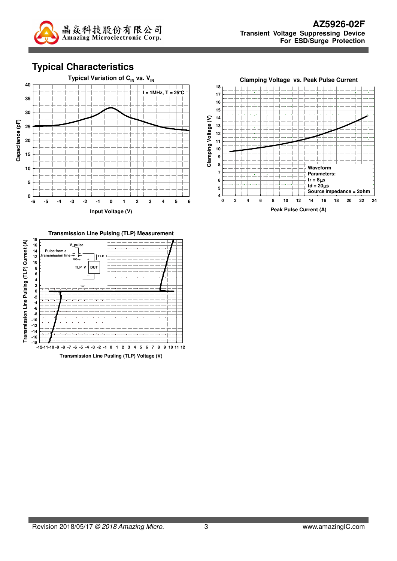

**Typical Characteristics**





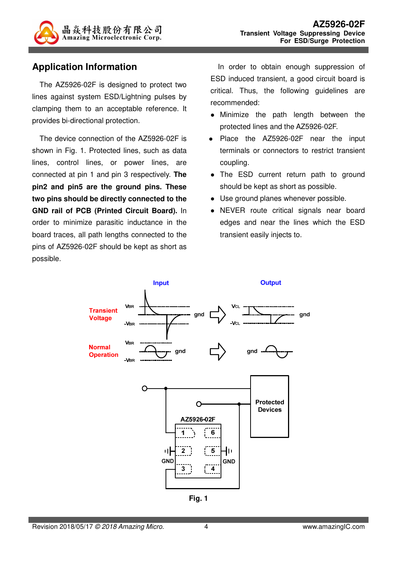

#### **Application Information**

The AZ5926-02F is designed to protect two lines against system ESD/Lightning pulses by clamping them to an acceptable reference. It provides bi-directional protection.

The device connection of the AZ5926-02F is shown in Fig. 1. Protected lines, such as data lines, control lines, or power lines, are connected at pin 1 and pin 3 respectively. **The pin2 and pin5 are the ground pins. These two pins should be directly connected to the GND rail of PCB (Printed Circuit Board).** In order to minimize parasitic inductance in the board traces, all path lengths connected to the pins of AZ5926-02F should be kept as short as possible.

In order to obtain enough suppression of ESD induced transient, a good circuit board is critical. Thus, the following guidelines are recommended:

- Minimize the path length between the protected lines and the AZ5926-02F.
- Place the AZ5926-02F near the input terminals or connectors to restrict transient coupling.
- The ESD current return path to ground should be kept as short as possible.
- Use ground planes whenever possible.
- NEVER route critical signals near board edges and near the lines which the ESD transient easily injects to.



**Fig. 1**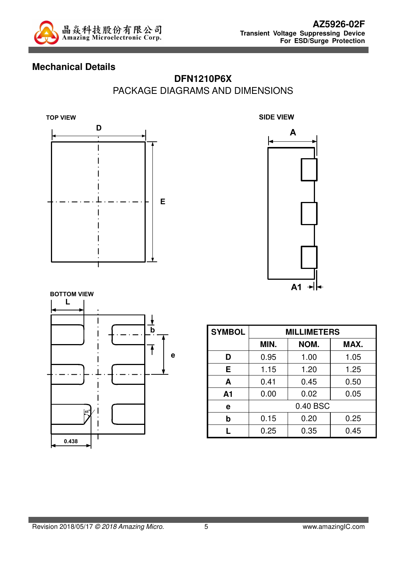

#### **Mechanical Details**

### **DFN1210P6X** PACKAGE DIAGRAMS AND DIMENSIONS







| <b>SYMBOL</b>  | <b>MILLIMETERS</b> |      |      |  |
|----------------|--------------------|------|------|--|
|                | MIN.               | NOM. | MAX. |  |
| D              | 0.95               | 1.00 | 1.05 |  |
| E              | 1.15               | 1.20 | 1.25 |  |
| A              | 0.41               | 0.45 | 0.50 |  |
| A <sub>1</sub> | 0.00               | 0.02 | 0.05 |  |
| е              | 0.40 BSC           |      |      |  |
| b              | 0.15               | 0.20 | 0.25 |  |
|                | 0.25               | 0.35 | 0.45 |  |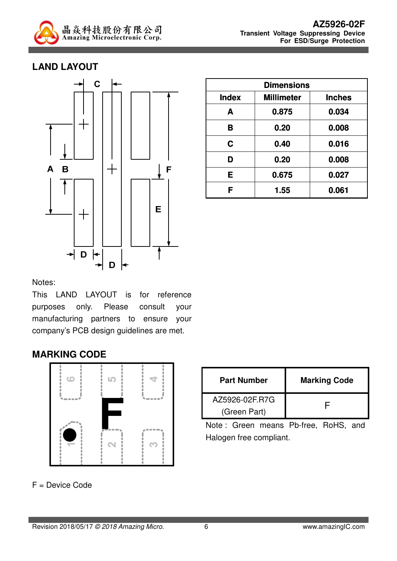

#### **LAND LAYOUT**



| <b>Dimensions</b> |                   |               |  |
|-------------------|-------------------|---------------|--|
| <b>Index</b>      | <b>Millimeter</b> | <b>Inches</b> |  |
| A                 | 0.875             | 0.034         |  |
| B                 | 0.20              | 0.008         |  |
| C                 | 0.40              | 0.016         |  |
| D                 | 0.20              | 0.008         |  |
| Е                 | 0.675             | 0.027         |  |
| F                 | 1.55              | 0.061         |  |

Notes:

This LAND LAYOUT is for reference purposes only. Please consult your manufacturing partners to ensure your company's PCB design guidelines are met.

#### **MARKING CODE**



F = Device Code

| <b>Part Number</b> | <b>Marking Code</b> |  |
|--------------------|---------------------|--|
| AZ5926-02F.R7G     |                     |  |
| (Green Part)       |                     |  |

Note : Green means Pb-free, RoHS, and Halogen free compliant.